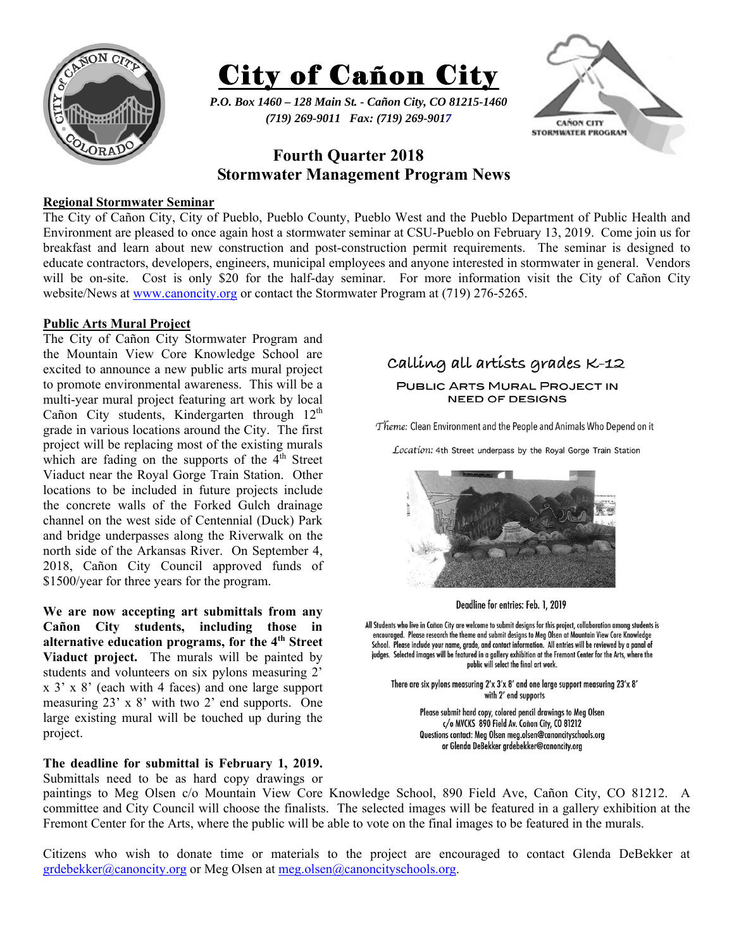



*P.O. Box 1460 – 128 Main St. - Cañon City, CO 81215-1460 (719) 269-9011 Fax: (719) 269-9017* 



# **Fourth Quarter 2018 Stormwater Management Program News**

#### **Regional Stormwater Seminar**

The City of Cañon City, City of Pueblo, Pueblo County, Pueblo West and the Pueblo Department of Public Health and Environment are pleased to once again host a stormwater seminar at CSU-Pueblo on February 13, 2019. Come join us for breakfast and learn about new construction and post-construction permit requirements. The seminar is designed to educate contractors, developers, engineers, municipal employees and anyone interested in stormwater in general. Vendors will be on-site. Cost is only \$20 for the half-day seminar. For more information visit the City of Cañon City website/News at www.canoncity.org or contact the Stormwater Program at (719) 276-5265.

#### **Public Arts Mural Project**

The City of Cañon City Stormwater Program and the Mountain View Core Knowledge School are excited to announce a new public arts mural project to promote environmental awareness. This will be a multi-year mural project featuring art work by local Cañon City students, Kindergarten through  $12<sup>th</sup>$ grade in various locations around the City. The first project will be replacing most of the existing murals which are fading on the supports of the  $4<sup>th</sup>$  Street Viaduct near the Royal Gorge Train Station. Other locations to be included in future projects include the concrete walls of the Forked Gulch drainage channel on the west side of Centennial (Duck) Park and bridge underpasses along the Riverwalk on the north side of the Arkansas River. On September 4, 2018, Cañon City Council approved funds of \$1500/year for three years for the program.

**We are now accepting art submittals from any Cañon City students, including those in alternative education programs, for the 4th Street Viaduct project.** The murals will be painted by students and volunteers on six pylons measuring 2' x 3' x 8' (each with 4 faces) and one large support measuring 23' x 8' with two 2' end supports. One large existing mural will be touched up during the project.

## **The deadline for submittal is February 1, 2019.**

Submittals need to be as hard copy drawings or

# calling all artists grades K-12

PUBLIC ARTS MURAL PROJECT IN **NEED OF DESIGNS** 

Theme: Clean Environment and the People and Animals Who Depend on it

Location: 4th Street underpass by the Royal Gorge Train Station



Deadline for entries: Feb. 1, 2019

All Students who live in Cañon City are welcome to submit designs for this project, collaboration among students is encouraged. Please research the theme and submit designs to Meg Olsen at Mountain View Core Knowledge School. Please include your name, grade, and contact information. All entries will be reviewed by a panal of judges. Selected images will be featured in a gallery exhibition at the Fremont Center for the Arts, where the public will select the final art work.

There are six pylons measuring 2'x 3'x 8' and one large support measuring 23'x 8' with 2' end supports

> Please submit hard copy, colored pencil drawings to Meg Olsen c/o MVCKS 890 Field Av. Cañon City, CO 81212 Questions contact: Meg Olsen meg.olsen@canoncityschools.org or Glenda DeBekker grdebekker@canoncity.org

paintings to Meg Olsen c/o Mountain View Core Knowledge School, 890 Field Ave, Cañon City, CO 81212. A committee and City Council will choose the finalists. The selected images will be featured in a gallery exhibition at the Fremont Center for the Arts, where the public will be able to vote on the final images to be featured in the murals.

Citizens who wish to donate time or materials to the project are encouraged to contact Glenda DeBekker at grdebekker@canoncity.org or Meg Olsen at meg.olsen@canoncityschools.org.